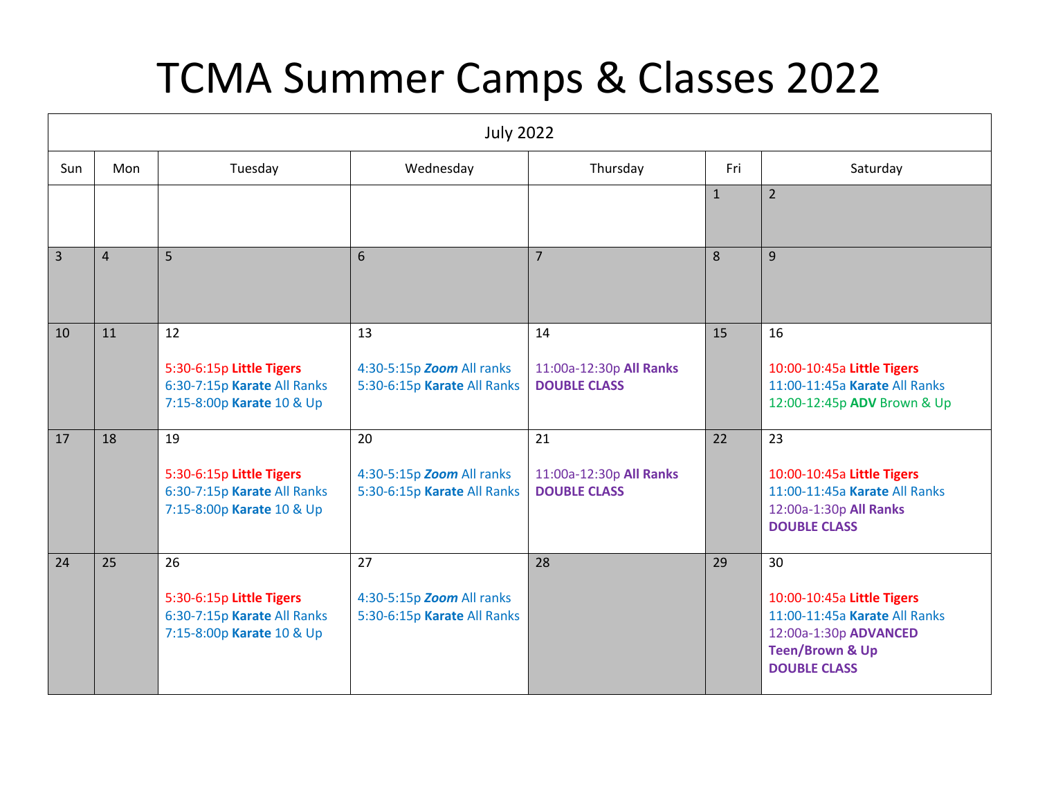## TCMA Summer Camps & Classes 2022

| <b>July 2022</b> |                |                                                                                            |                                                                |                                                      |              |                                                                                                                                                 |  |  |  |
|------------------|----------------|--------------------------------------------------------------------------------------------|----------------------------------------------------------------|------------------------------------------------------|--------------|-------------------------------------------------------------------------------------------------------------------------------------------------|--|--|--|
| Sun              | Mon            | Tuesday                                                                                    | Wednesday                                                      | Thursday                                             | Fri          | Saturday                                                                                                                                        |  |  |  |
|                  |                |                                                                                            |                                                                |                                                      | $\mathbf{1}$ | $\overline{2}$                                                                                                                                  |  |  |  |
| $\overline{3}$   | $\overline{4}$ | 5                                                                                          | 6                                                              | $\overline{7}$                                       | 8            | 9                                                                                                                                               |  |  |  |
| 10               | 11             | 12<br>5:30-6:15p Little Tigers<br>6:30-7:15p Karate All Ranks<br>7:15-8:00p Karate 10 & Up | 13<br>4:30-5:15p Zoom All ranks<br>5:30-6:15p Karate All Ranks | 14<br>11:00a-12:30p All Ranks<br><b>DOUBLE CLASS</b> | 15           | 16<br>10:00-10:45a Little Tigers<br>11:00-11:45a Karate All Ranks<br>12:00-12:45p ADV Brown & Up                                                |  |  |  |
| 17               | 18             | 19<br>5:30-6:15p Little Tigers<br>6:30-7:15p Karate All Ranks<br>7:15-8:00p Karate 10 & Up | 20<br>4:30-5:15p Zoom All ranks<br>5:30-6:15p Karate All Ranks | 21<br>11:00a-12:30p All Ranks<br><b>DOUBLE CLASS</b> | 22           | 23<br>10:00-10:45a Little Tigers<br>11:00-11:45a Karate All Ranks<br>12:00a-1:30p All Ranks<br><b>DOUBLE CLASS</b>                              |  |  |  |
| 24               | 25             | 26<br>5:30-6:15p Little Tigers<br>6:30-7:15p Karate All Ranks<br>7:15-8:00p Karate 10 & Up | 27<br>4:30-5:15p Zoom All ranks<br>5:30-6:15p Karate All Ranks | 28                                                   | 29           | 30<br>10:00-10:45a Little Tigers<br>11:00-11:45a Karate All Ranks<br>12:00a-1:30p ADVANCED<br><b>Teen/Brown &amp; Up</b><br><b>DOUBLE CLASS</b> |  |  |  |